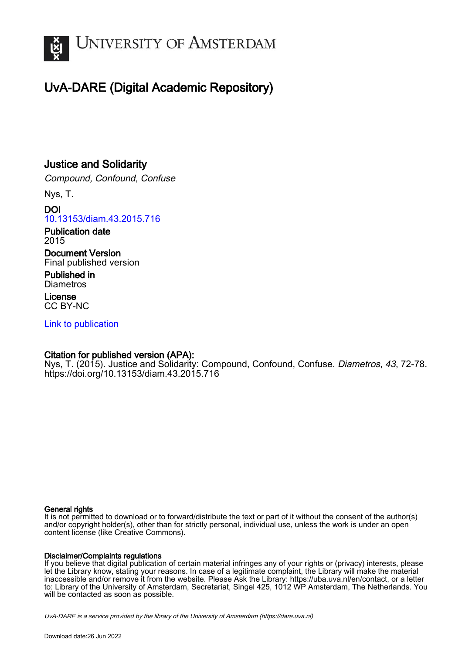

## UvA-DARE (Digital Academic Repository)

## Justice and Solidarity

Compound, Confound, Confuse

Nys, T.

DOI [10.13153/diam.43.2015.716](https://doi.org/10.13153/diam.43.2015.716)

Publication date 2015

Document Version Final published version

Published in **Diametros** 

License CC BY-NC

[Link to publication](https://dare.uva.nl/personal/pure/en/publications/justice-and-solidarity(eb7e2660-25ff-4c78-959e-47e7857a6b4d).html)

### Citation for published version (APA):

Nys, T. (2015). Justice and Solidarity: Compound, Confound, Confuse. Diametros, 43, 72-78. <https://doi.org/10.13153/diam.43.2015.716>

#### General rights

It is not permitted to download or to forward/distribute the text or part of it without the consent of the author(s) and/or copyright holder(s), other than for strictly personal, individual use, unless the work is under an open content license (like Creative Commons).

### Disclaimer/Complaints regulations

If you believe that digital publication of certain material infringes any of your rights or (privacy) interests, please let the Library know, stating your reasons. In case of a legitimate complaint, the Library will make the material inaccessible and/or remove it from the website. Please Ask the Library: https://uba.uva.nl/en/contact, or a letter to: Library of the University of Amsterdam, Secretariat, Singel 425, 1012 WP Amsterdam, The Netherlands. You will be contacted as soon as possible.

UvA-DARE is a service provided by the library of the University of Amsterdam (http*s*://dare.uva.nl)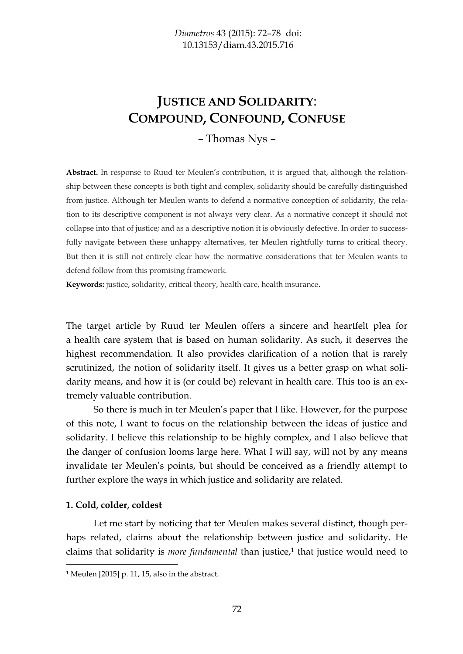# **JUSTICE AND SOLIDARITY**: **COMPOUND, CONFOUND, CONFUSE**

– Thomas Nys –

**Abstract.** In response to Ruud ter Meulen's contribution, it is argued that, although the relationship between these concepts is both tight and complex, solidarity should be carefully distinguished from justice. Although ter Meulen wants to defend a normative conception of solidarity, the relation to its descriptive component is not always very clear. As a normative concept it should not collapse into that of justice; and as a descriptive notion it is obviously defective. In order to successfully navigate between these unhappy alternatives, ter Meulen rightfully turns to critical theory. But then it is still not entirely clear how the normative considerations that ter Meulen wants to defend follow from this promising framework.

**Keywords:** justice, solidarity, critical theory, health care, health insurance.

The target article by Ruud ter Meulen offers a sincere and heartfelt plea for a health care system that is based on human solidarity. As such, it deserves the highest recommendation. It also provides clarification of a notion that is rarely scrutinized, the notion of solidarity itself. It gives us a better grasp on what solidarity means, and how it is (or could be) relevant in health care. This too is an extremely valuable contribution.

So there is much in ter Meulen's paper that I like. However, for the purpose of this note, I want to focus on the relationship between the ideas of justice and solidarity. I believe this relationship to be highly complex, and I also believe that the danger of confusion looms large here. What I will say, will not by any means invalidate ter Meulen's points, but should be conceived as a friendly attempt to further explore the ways in which justice and solidarity are related.

### **1. Cold, colder, coldest**

Let me start by noticing that ter Meulen makes several distinct, though perhaps related, claims about the relationship between justice and solidarity. He claims that solidarity is *more fundamental* than justice,<sup>1</sup> that justice would need to

<sup>1</sup> Meulen [2015] p. 11, 15, also in the abstract.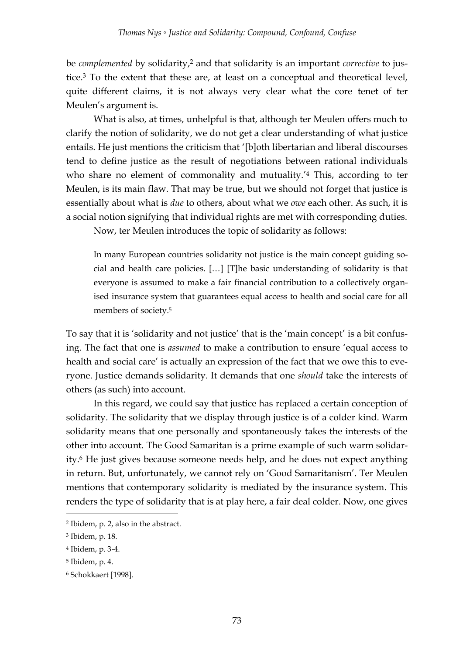be *complemented* by solidarity,<sup>2</sup> and that solidarity is an important *corrective* to justice.<sup>3</sup> To the extent that these are, at least on a conceptual and theoretical level, quite different claims, it is not always very clear what the core tenet of ter Meulen's argument is.

What is also, at times, unhelpful is that, although ter Meulen offers much to clarify the notion of solidarity, we do not get a clear understanding of what justice entails. He just mentions the criticism that '[b]oth libertarian and liberal discourses tend to define justice as the result of negotiations between rational individuals who share no element of commonality and mutuality.<sup>'4</sup> This, according to ter Meulen, is its main flaw. That may be true, but we should not forget that justice is essentially about what is *due* to others, about what we *owe* each other. As such, it is a social notion signifying that individual rights are met with corresponding duties.

Now, ter Meulen introduces the topic of solidarity as follows:

In many European countries solidarity not justice is the main concept guiding social and health care policies. […] [T]he basic understanding of solidarity is that everyone is assumed to make a fair financial contribution to a collectively organised insurance system that guarantees equal access to health and social care for all members of society.<sup>5</sup>

To say that it is 'solidarity and not justice' that is the 'main concept' is a bit confusing. The fact that one is *assumed* to make a contribution to ensure 'equal access to health and social care' is actually an expression of the fact that we owe this to everyone. Justice demands solidarity. It demands that one *should* take the interests of others (as such) into account.

In this regard, we could say that justice has replaced a certain conception of solidarity. The solidarity that we display through justice is of a colder kind. Warm solidarity means that one personally and spontaneously takes the interests of the other into account. The Good Samaritan is a prime example of such warm solidarity.<sup>6</sup> He just gives because someone needs help, and he does not expect anything in return. But, unfortunately, we cannot rely on 'Good Samaritanism'. Ter Meulen mentions that contemporary solidarity is mediated by the insurance system. This renders the type of solidarity that is at play here, a fair deal colder. Now, one gives

-

<sup>2</sup> Ibidem, p. 2, also in the abstract.

<sup>3</sup> Ibidem, p. 18.

<sup>4</sup> Ibidem, p. 3-4.

<sup>5</sup> Ibidem, p. 4.

<sup>6</sup> Schokkaert [1998].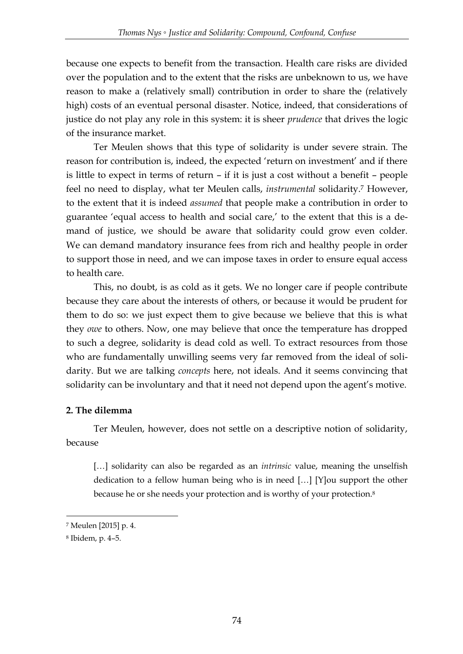because one expects to benefit from the transaction. Health care risks are divided over the population and to the extent that the risks are unbeknown to us, we have reason to make a (relatively small) contribution in order to share the (relatively high) costs of an eventual personal disaster. Notice, indeed, that considerations of justice do not play any role in this system: it is sheer *prudence* that drives the logic of the insurance market.

Ter Meulen shows that this type of solidarity is under severe strain. The reason for contribution is, indeed, the expected 'return on investment' and if there is little to expect in terms of return – if it is just a cost without a benefit – people feel no need to display, what ter Meulen calls, *instrumental* solidarity.<sup>7</sup> However, to the extent that it is indeed *assumed* that people make a contribution in order to guarantee 'equal access to health and social care,' to the extent that this is a demand of justice, we should be aware that solidarity could grow even colder. We can demand mandatory insurance fees from rich and healthy people in order to support those in need, and we can impose taxes in order to ensure equal access to health care.

This, no doubt, is as cold as it gets. We no longer care if people contribute because they care about the interests of others, or because it would be prudent for them to do so: we just expect them to give because we believe that this is what they *owe* to others. Now, one may believe that once the temperature has dropped to such a degree, solidarity is dead cold as well. To extract resources from those who are fundamentally unwilling seems very far removed from the ideal of solidarity. But we are talking *concepts* here, not ideals. And it seems convincing that solidarity can be involuntary and that it need not depend upon the agent's motive.

## **2. The dilemma**

Ter Meulen, however, does not settle on a descriptive notion of solidarity, because

[...] solidarity can also be regarded as an *intrinsic* value, meaning the unselfish dedication to a fellow human being who is in need […] [Y]ou support the other because he or she needs your protection and is worthy of your protection.<sup>8</sup>

<u>.</u>

<sup>7</sup> Meulen [2015] p. 4.

<sup>8</sup> Ibidem, p. 4–5.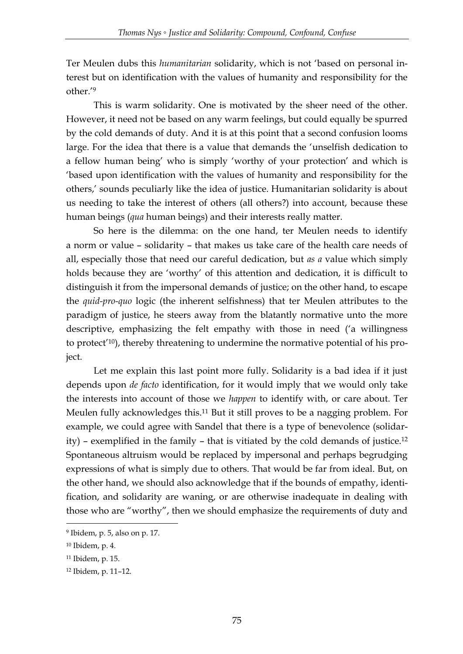Ter Meulen dubs this *humanitarian* solidarity, which is not 'based on personal interest but on identification with the values of humanity and responsibility for the other.' 9

This is warm solidarity. One is motivated by the sheer need of the other. However, it need not be based on any warm feelings, but could equally be spurred by the cold demands of duty. And it is at this point that a second confusion looms large. For the idea that there is a value that demands the 'unselfish dedication to a fellow human being' who is simply 'worthy of your protection' and which is 'based upon identification with the values of humanity and responsibility for the others,' sounds peculiarly like the idea of justice. Humanitarian solidarity is about us needing to take the interest of others (all others?) into account, because these human beings (*qua* human beings) and their interests really matter.

So here is the dilemma: on the one hand, ter Meulen needs to identify a norm or value – solidarity – that makes us take care of the health care needs of all, especially those that need our careful dedication, but *as a* value which simply holds because they are 'worthy' of this attention and dedication, it is difficult to distinguish it from the impersonal demands of justice; on the other hand, to escape the *quid-pro-quo* logic (the inherent selfishness) that ter Meulen attributes to the paradigm of justice, he steers away from the blatantly normative unto the more descriptive, emphasizing the felt empathy with those in need ('a willingness to protect' 10), thereby threatening to undermine the normative potential of his project.

Let me explain this last point more fully. Solidarity is a bad idea if it just depends upon *de facto* identification, for it would imply that we would only take the interests into account of those we *happen* to identify with, or care about. Ter Meulen fully acknowledges this.<sup>11</sup> But it still proves to be a nagging problem. For example, we could agree with Sandel that there is a type of benevolence (solidarity) – exemplified in the family – that is vitiated by the cold demands of justice.<sup>12</sup> Spontaneous altruism would be replaced by impersonal and perhaps begrudging expressions of what is simply due to others. That would be far from ideal. But, on the other hand, we should also acknowledge that if the bounds of empathy, identification, and solidarity are waning, or are otherwise inadequate in dealing with those who are "worthy", then we should emphasize the requirements of duty and

-

<sup>9</sup> Ibidem, p. 5, also on p. 17.

<sup>10</sup> Ibidem, p. 4.

<sup>11</sup> Ibidem, p. 15.

<sup>12</sup> Ibidem, p. 11–12.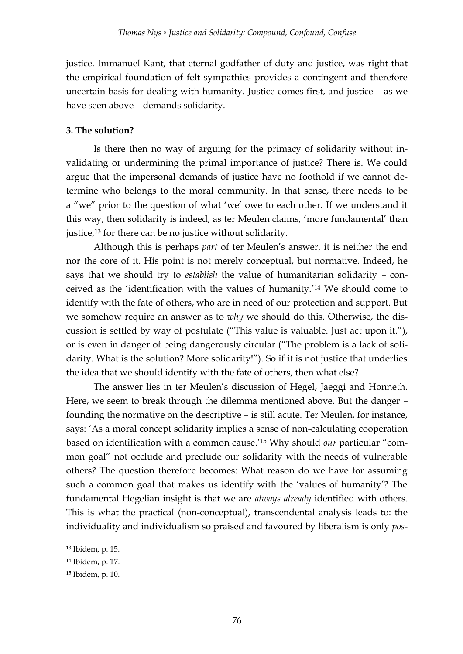justice. Immanuel Kant, that eternal godfather of duty and justice, was right that the empirical foundation of felt sympathies provides a contingent and therefore uncertain basis for dealing with humanity. Justice comes first, and justice – as we have seen above – demands solidarity.

## **3. The solution?**

Is there then no way of arguing for the primacy of solidarity without invalidating or undermining the primal importance of justice? There is. We could argue that the impersonal demands of justice have no foothold if we cannot determine who belongs to the moral community. In that sense, there needs to be a "we" prior to the question of what 'we' owe to each other. If we understand it this way, then solidarity is indeed, as ter Meulen claims, 'more fundamental' than justice,<sup>13</sup> for there can be no justice without solidarity.

Although this is perhaps *part* of ter Meulen's answer, it is neither the end nor the core of it. His point is not merely conceptual, but normative. Indeed, he says that we should try to *establish* the value of humanitarian solidarity – conceived as the 'identification with the values of humanity.' <sup>14</sup> We should come to identify with the fate of others, who are in need of our protection and support. But we somehow require an answer as to *why* we should do this. Otherwise, the discussion is settled by way of postulate ("This value is valuable. Just act upon it."), or is even in danger of being dangerously circular ("The problem is a lack of solidarity. What is the solution? More solidarity!"). So if it is not justice that underlies the idea that we should identify with the fate of others, then what else?

The answer lies in ter Meulen's discussion of Hegel, Jaeggi and Honneth. Here, we seem to break through the dilemma mentioned above. But the danger – founding the normative on the descriptive – is still acute. Ter Meulen, for instance, says: 'As a moral concept solidarity implies a sense of non-calculating cooperation based on identification with a common cause.' <sup>15</sup> Why should *our* particular "common goal" not occlude and preclude our solidarity with the needs of vulnerable others? The question therefore becomes: What reason do we have for assuming such a common goal that makes us identify with the 'values of humanity'? The fundamental Hegelian insight is that we are *always already* identified with others. This is what the practical (non-conceptual), transcendental analysis leads to: the individuality and individualism so praised and favoured by liberalism is only *pos-*

<u>.</u>

<sup>13</sup> Ibidem, p. 15.

<sup>14</sup> Ibidem, p. 17.

<sup>15</sup> Ibidem, p. 10.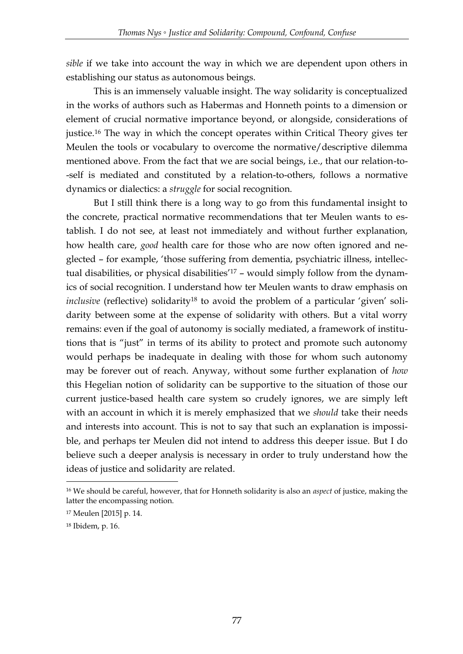*sible* if we take into account the way in which we are dependent upon others in establishing our status as autonomous beings.

This is an immensely valuable insight. The way solidarity is conceptualized in the works of authors such as Habermas and Honneth points to a dimension or element of crucial normative importance beyond, or alongside, considerations of justice.<sup>16</sup> The way in which the concept operates within Critical Theory gives ter Meulen the tools or vocabulary to overcome the normative/descriptive dilemma mentioned above. From the fact that we are social beings, i.e., that our relation-to- -self is mediated and constituted by a relation-to-others, follows a normative dynamics or dialectics: a *struggle* for social recognition.

But I still think there is a long way to go from this fundamental insight to the concrete, practical normative recommendations that ter Meulen wants to establish. I do not see, at least not immediately and without further explanation, how health care, *good* health care for those who are now often ignored and neglected – for example, 'those suffering from dementia, psychiatric illness, intellectual disabilities, or physical disabilities' <sup>17</sup> – would simply follow from the dynamics of social recognition. I understand how ter Meulen wants to draw emphasis on *inclusive* (reflective) solidarity<sup>18</sup> to avoid the problem of a particular 'given' solidarity between some at the expense of solidarity with others. But a vital worry remains: even if the goal of autonomy is socially mediated, a framework of institutions that is "just" in terms of its ability to protect and promote such autonomy would perhaps be inadequate in dealing with those for whom such autonomy may be forever out of reach. Anyway, without some further explanation of *how* this Hegelian notion of solidarity can be supportive to the situation of those our current justice-based health care system so crudely ignores, we are simply left with an account in which it is merely emphasized that we *should* take their needs and interests into account. This is not to say that such an explanation is impossible, and perhaps ter Meulen did not intend to address this deeper issue. But I do believe such a deeper analysis is necessary in order to truly understand how the ideas of justice and solidarity are related.

-

<sup>16</sup> We should be careful, however, that for Honneth solidarity is also an *aspect* of justice, making the latter the encompassing notion.

<sup>17</sup> Meulen [2015] p. 14.

<sup>18</sup> Ibidem, p. 16.